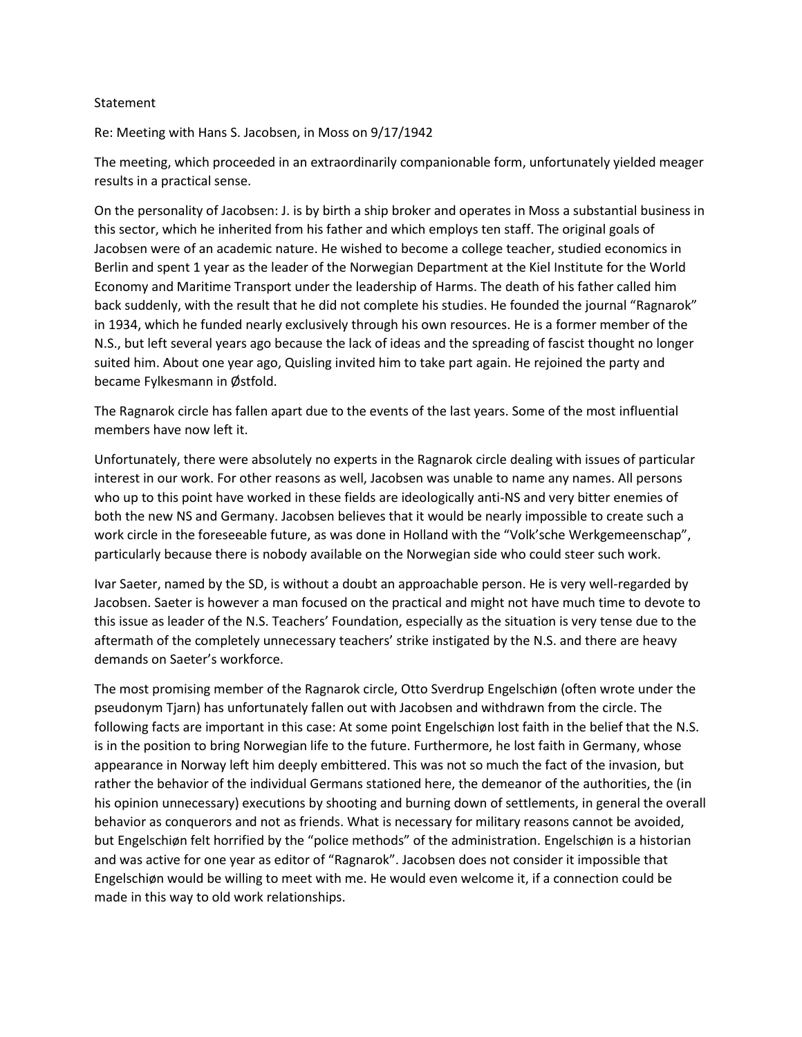## Statement

Re: Meeting with Hans S. Jacobsen, in Moss on 9/17/1942

The meeting, which proceeded in an extraordinarily companionable form, unfortunately yielded meager results in a practical sense.

On the personality of Jacobsen: J. is by birth a ship broker and operates in Moss a substantial business in this sector, which he inherited from his father and which employs ten staff. The original goals of Jacobsen were of an academic nature. He wished to become a college teacher, studied economics in Berlin and spent 1 year as the leader of the Norwegian Department at the Kiel Institute for the World Economy and Maritime Transport under the leadership of Harms. The death of his father called him back suddenly, with the result that he did not complete his studies. He founded the journal "Ragnarok" in 1934, which he funded nearly exclusively through his own resources. He is a former member of the N.S., but left several years ago because the lack of ideas and the spreading of fascist thought no longer suited him. About one year ago, Quisling invited him to take part again. He rejoined the party and became Fylkesmann in Østfold.

The Ragnarok circle has fallen apart due to the events of the last years. Some of the most influential members have now left it.

Unfortunately, there were absolutely no experts in the Ragnarok circle dealing with issues of particular interest in our work. For other reasons as well, Jacobsen was unable to name any names. All persons who up to this point have worked in these fields are ideologically anti-NS and very bitter enemies of both the new NS and Germany. Jacobsen believes that it would be nearly impossible to create such a work circle in the foreseeable future, as was done in Holland with the "Volk'sche Werkgemeenschap", particularly because there is nobody available on the Norwegian side who could steer such work.

Ivar Saeter, named by the SD, is without a doubt an approachable person. He is very well-regarded by Jacobsen. Saeter is however a man focused on the practical and might not have much time to devote to this issue as leader of the N.S. Teachers' Foundation, especially as the situation is very tense due to the aftermath of the completely unnecessary teachers' strike instigated by the N.S. and there are heavy demands on Saeter's workforce.

The most promising member of the Ragnarok circle, Otto Sverdrup Engelschiøn (often wrote under the pseudonym Tjarn) has unfortunately fallen out with Jacobsen and withdrawn from the circle. The following facts are important in this case: At some point Engelschiøn lost faith in the belief that the N.S. is in the position to bring Norwegian life to the future. Furthermore, he lost faith in Germany, whose appearance in Norway left him deeply embittered. This was not so much the fact of the invasion, but rather the behavior of the individual Germans stationed here, the demeanor of the authorities, the (in his opinion unnecessary) executions by shooting and burning down of settlements, in general the overall behavior as conquerors and not as friends. What is necessary for military reasons cannot be avoided, but Engelschiøn felt horrified by the "police methods" of the administration. Engelschiøn is a historian and was active for one year as editor of "Ragnarok". Jacobsen does not consider it impossible that Engelschiøn would be willing to meet with me. He would even welcome it, if a connection could be made in this way to old work relationships.